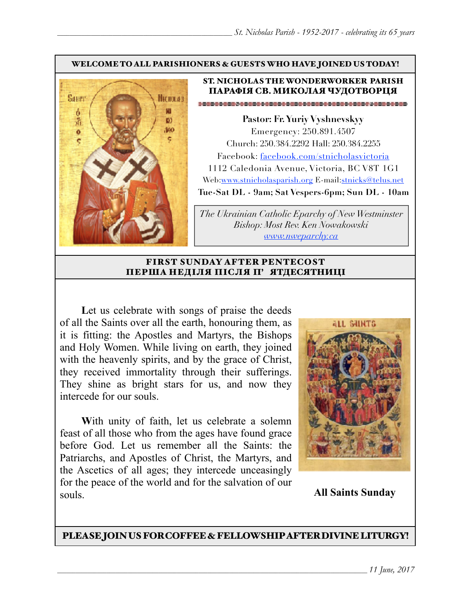#### WELCOME TO ALL PARISHIONERS & GUESTS WHO HAVE JOINED US TODAY!



### ST. NICHOLAS THE WONDERWORKER PARISH ПАРАФІЯ СВ. МИКОЛАЯ ЧУДОТВОРЦЯ

**Pastor: Fr. Yuriy Vyshnevskyy** Emergency: 250.891.4507 Church: 250.384.2292 Hall: 250.384.2255 Facebook: facebook.com/stnicholasvictoria 1112 Caledonia Avenue, Victoria, BC V8T 1G1 Web[:www.stnicholasparish.org](http://www.stnicholasparish.org) E-mail:[stnicks@telus.net](mailto:stnicks@telus.net) **Tue-Sat DL - 9am; Sat Vespers-6pm; Sun DL - 10am**

*The Ukrainian Catholic Eparchy of New Westminster Bishop: Most Rev. Ken Nowakowski [www.nweparchy.ca](http://www.nweparchy.ca)*

#### FIRST SUNDAY AFTER PENTECOST ПЕРША НЕДІЛЯ ПІСЛЯ П' ЯТДЕСЯТНИЦІ

Let us celebrate with songs of praise the deeds of all the Saints over all the earth, honouring them, as it is fitting: the Apostles and Martyrs, the Bishops and Holy Women. While living on earth, they joined with the heavenly spirits, and by the grace of Christ, they received immortality through their sufferings. They shine as bright stars for us, and now they intercede for our souls.

With unity of faith, let us celebrate a solemn feast of all those who from the ages have found grace before God. Let us remember all the Saints: the Patriarchs, and Apostles of Christ, the Martyrs, and the Ascetics of all ages; they intercede unceasingly for the peace of the world and for the salvation of our souls.



**All Saints Sunday**

PLEASE JOIN US FOR COFFEE & FELLOWSHIP AFTER DIVINE LITURGY!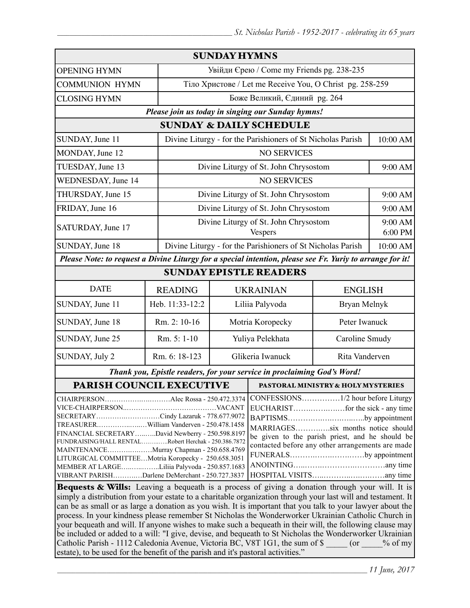| <b>SUNDAY HYMNS</b>                                                                                                                                                                                                                                                                                                                                                                                                                                                                                                                                                                      |                 |                                                             |                                                         |                                                             |                    |
|------------------------------------------------------------------------------------------------------------------------------------------------------------------------------------------------------------------------------------------------------------------------------------------------------------------------------------------------------------------------------------------------------------------------------------------------------------------------------------------------------------------------------------------------------------------------------------------|-----------------|-------------------------------------------------------------|---------------------------------------------------------|-------------------------------------------------------------|--------------------|
| <b>OPENING HYMN</b>                                                                                                                                                                                                                                                                                                                                                                                                                                                                                                                                                                      |                 | Увійди Єрею / Come my Friends pg. 238-235                   |                                                         |                                                             |                    |
| <b>COMMUNION HYMN</b>                                                                                                                                                                                                                                                                                                                                                                                                                                                                                                                                                                    |                 | Тіло Христове / Let me Receive You, O Christ pg. 258-259    |                                                         |                                                             |                    |
| <b>CLOSING HYMN</b>                                                                                                                                                                                                                                                                                                                                                                                                                                                                                                                                                                      |                 | Боже Великий, Єдиний рg. 264                                |                                                         |                                                             |                    |
| Please join us today in singing our Sunday hymns!                                                                                                                                                                                                                                                                                                                                                                                                                                                                                                                                        |                 |                                                             |                                                         |                                                             |                    |
| <b>SUNDAY &amp; DAILY SCHEDULE</b>                                                                                                                                                                                                                                                                                                                                                                                                                                                                                                                                                       |                 |                                                             |                                                         |                                                             |                    |
| SUNDAY, June 11                                                                                                                                                                                                                                                                                                                                                                                                                                                                                                                                                                          |                 | Divine Liturgy - for the Parishioners of St Nicholas Parish |                                                         | 10:00 AM                                                    |                    |
| MONDAY, June 12                                                                                                                                                                                                                                                                                                                                                                                                                                                                                                                                                                          |                 |                                                             | <b>NO SERVICES</b>                                      |                                                             |                    |
| TUESDAY, June 13                                                                                                                                                                                                                                                                                                                                                                                                                                                                                                                                                                         |                 |                                                             | Divine Liturgy of St. John Chrysostom                   |                                                             | 9:00 AM            |
| <b>WEDNESDAY</b> , June 14                                                                                                                                                                                                                                                                                                                                                                                                                                                                                                                                                               |                 | <b>NO SERVICES</b>                                          |                                                         |                                                             |                    |
| THURSDAY, June 15                                                                                                                                                                                                                                                                                                                                                                                                                                                                                                                                                                        |                 |                                                             | Divine Liturgy of St. John Chrysostom                   |                                                             | 9:00 AM            |
| FRIDAY, June 16                                                                                                                                                                                                                                                                                                                                                                                                                                                                                                                                                                          |                 |                                                             | Divine Liturgy of St. John Chrysostom                   |                                                             | 9:00 AM            |
| SATURDAY, June 17                                                                                                                                                                                                                                                                                                                                                                                                                                                                                                                                                                        |                 |                                                             | Divine Liturgy of St. John Chrysostom<br><b>Vespers</b> |                                                             | 9:00 AM<br>6:00 PM |
| SUNDAY, June 18                                                                                                                                                                                                                                                                                                                                                                                                                                                                                                                                                                          |                 |                                                             |                                                         | Divine Liturgy - for the Parishioners of St Nicholas Parish |                    |
| Please Note: to request a Divine Liturgy for a special intention, please see Fr. Yuriy to arrange for it!                                                                                                                                                                                                                                                                                                                                                                                                                                                                                |                 |                                                             |                                                         |                                                             |                    |
| <b>SUNDAY EPISTLE READERS</b>                                                                                                                                                                                                                                                                                                                                                                                                                                                                                                                                                            |                 |                                                             |                                                         |                                                             |                    |
| <b>DATE</b>                                                                                                                                                                                                                                                                                                                                                                                                                                                                                                                                                                              | <b>READING</b>  |                                                             |                                                         | <b>UKRAINIAN</b><br><b>ENGLISH</b>                          |                    |
| SUNDAY, June 11                                                                                                                                                                                                                                                                                                                                                                                                                                                                                                                                                                          | Heb. 11:33-12:2 | Liliia Palyvoda<br>Bryan Melnyk                             |                                                         |                                                             |                    |
| SUNDAY, June 18                                                                                                                                                                                                                                                                                                                                                                                                                                                                                                                                                                          | Rm. 2: 10-16    | Motria Koropecky                                            |                                                         | Peter Iwanuck                                               |                    |
| SUNDAY, June 25                                                                                                                                                                                                                                                                                                                                                                                                                                                                                                                                                                          | Rm. 5: 1-10     | Yuliya Pelekhata                                            |                                                         | Caroline Smudy                                              |                    |
| SUNDAY, July 2                                                                                                                                                                                                                                                                                                                                                                                                                                                                                                                                                                           | Rm. 6: 18-123   | Glikeria Iwanuck                                            |                                                         | Rita Vanderven                                              |                    |
| Thank you, Epistle readers, for your service in proclaiming God's Word!                                                                                                                                                                                                                                                                                                                                                                                                                                                                                                                  |                 |                                                             |                                                         |                                                             |                    |
| PARISH COUNCIL EXECUTIVE                                                                                                                                                                                                                                                                                                                                                                                                                                                                                                                                                                 |                 |                                                             | <b>PASTORAL MINISTRY &amp; HOLY MYSTERIES</b>           |                                                             |                    |
| CONFESSIONS1/2 hour before Liturgy<br>SECRETARYCindy Lazaruk - 778.677.9072<br>BAPTISMSby appointment<br>TREASURERWilliam Vanderven - 250.478.1458<br>MARRIAGESsix months notice should<br>FINANCIAL SECRETARYDavid Newberry - 250.598.8197<br>be given to the parish priest, and he should be<br>FUNDRAISING/HALL RENTALRobert Herchak - 250.386.7872<br>contacted before any other arrangements are made<br>MAINTENANCEMurray Chapman - 250.658.4769<br>FUNERALSby appointment<br>LITURGICAL COMMITTEEMotria Koropecky - 250.658.3051<br>MEMBER AT LARGELiliia Palyvoda - 250.857.1683 |                 |                                                             |                                                         |                                                             |                    |
| VIBRANT PARISHDarlene DeMerchant - 250.727.3837<br>Bequests & Wills: Leaving a bequeath is a process of giving a donation through your will. It is                                                                                                                                                                                                                                                                                                                                                                                                                                       |                 |                                                             |                                                         |                                                             |                    |

simply a distribution from your estate to a charitable organization through your last will and testament. It can be as small or as large a donation as you wish. It is important that you talk to your lawyer about the process. In your kindness please remember St Nicholas the Wonderworker Ukrainian Catholic Church in your bequeath and will. If anyone wishes to make such a bequeath in their will, the following clause may be included or added to a will: "I give, devise, and bequeath to St Nicholas the Wonderworker Ukrainian Catholic Parish - 1112 Caledonia Avenue, Victoria BC, V8T 1G1, the sum of \$  $\qquad \qquad$  (or  $\qquad \qquad$  % of my estate), to be used for the benefit of the parish and it's pastoral activities."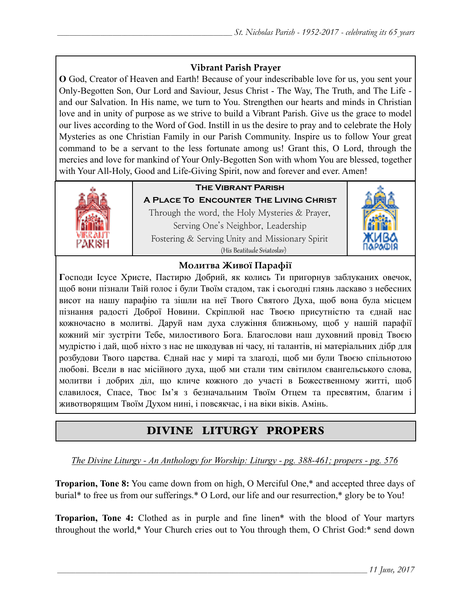## **Vibrant Parish Prayer**

**O** God, Creator of Heaven and Earth! Because of your indescribable love for us, you sent your Only-Begotten Son, Our Lord and Saviour, Jesus Christ - The Way, The Truth, and The Life and our Salvation. In His name, we turn to You. Strengthen our hearts and minds in Christian love and in unity of purpose as we strive to build a Vibrant Parish. Give us the grace to model our lives according to the Word of God. Instill in us the desire to pray and to celebrate the Holy Mysteries as one Christian Family in our Parish Community. Inspire us to follow Your great command to be a servant to the less fortunate among us! Grant this, O Lord, through the mercies and love for mankind of Your Only-Begotten Son with whom You are blessed, together with Your All-Holy, Good and Life-Giving Spirit, now and forever and ever. Amen!



## **The Vibrant Parish**

**A Place To Encounter The Living Christ** Through the word, the Holy Mysteries & Prayer, Serving One's Neighbor, Leadership Fostering & Serving Unity and Missionary Spirit (His Beatitude Sviatoslav)



### **Молитва Живої Парафії**

**Г**осподи Ісусе Христе, Пастирю Добрий, як колись Ти пригорнув заблуканих овечок, щоб вони пізнали Твій голос і були Твоїм стадом, так і сьогодні глянь ласкаво з небесних висот на нашу парафію та зішли на неї Твого Святого Духа, щоб вона була місцем пізнання радості Доброї Новини. Скріплюй нас Твоєю присутністю та єднай нас кожночасно в молитві. Даруй нам духа служіння ближньому, щоб у нашій парафії кожний міг зустріти Тебе, милостивого Бога. Благослови наш духовний провід Твоєю мудрістю і дай, щоб ніхто з нас не шкодував ні часу, ні талантів, ні матеріальних дібр для розбудови Твого царства. Єднай нас у мирі та злагоді, щоб ми були Твоєю спільнотою любові. Всели в нас місійного духа, щоб ми стали тим світилом євангельського слова, молитви і добрих діл, що кличе кожного до участі в Божественному житті, щоб славилося, Спасе, Твоє Ім'я з безначальним Твоїм Отцем та пресвятим, благим і животворящим Твоїм Духом нині, і повсякчас, і на віки віків. Амінь.

# DIVINE LITURGY PROPERS

*The Divine Liturgy - An Anthology for Worship: Liturgy - pg. 388-461; propers - pg. 576* 

**Troparion, Tone 8:** You came down from on high, O Merciful One,\* and accepted three days of burial\* to free us from our sufferings.\* O Lord, our life and our resurrection,\* glory be to You!

**Troparion, Tone 4:** Clothed as in purple and fine linen\* with the blood of Your martyrs throughout the world,\* Your Church cries out to You through them, O Christ God:\* send down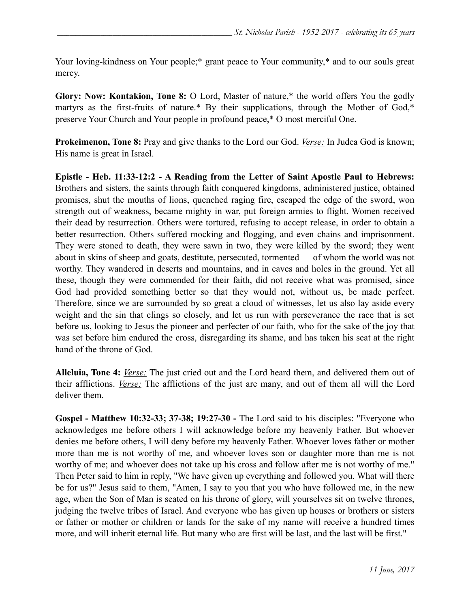Your loving-kindness on Your people;\* grant peace to Your community,\* and to our souls great mercy.

**Glory: Now: Kontakion, Tone 8:** O Lord, Master of nature,\* the world offers You the godly martyrs as the first-fruits of nature.\* By their supplications, through the Mother of God,\* preserve Your Church and Your people in profound peace,\* O most merciful One.

**Prokeimenon, Tone 8:** Pray and give thanks to the Lord our God. *Verse:* In Judea God is known; His name is great in Israel.

**Epistle - Heb. 11:33-12:2 - A Reading from the Letter of Saint Apostle Paul to Hebrews:** Brothers and sisters, the saints through faith conquered kingdoms, administered justice, obtained promises, shut the mouths of lions, quenched raging fire, escaped the edge of the sword, won strength out of weakness, became mighty in war, put foreign armies to flight. Women received their dead by resurrection. Others were tortured, refusing to accept release, in order to obtain a better resurrection. Others suffered mocking and flogging, and even chains and imprisonment. They were stoned to death, they were sawn in two, they were killed by the sword; they went about in skins of sheep and goats, destitute, persecuted, tormented — of whom the world was not worthy. They wandered in deserts and mountains, and in caves and holes in the ground. Yet all these, though they were commended for their faith, did not receive what was promised, since God had provided something better so that they would not, without us, be made perfect. Therefore, since we are surrounded by so great a cloud of witnesses, let us also lay aside every weight and the sin that clings so closely, and let us run with perseverance the race that is set before us, looking to Jesus the pioneer and perfecter of our faith, who for the sake of the joy that was set before him endured the cross, disregarding its shame, and has taken his seat at the right hand of the throne of God.

**Alleluia, Tone 4:** *Verse:* The just cried out and the Lord heard them, and delivered them out of their afflictions. *Verse:* The afflictions of the just are many, and out of them all will the Lord deliver them.

**Gospel - Matthew 10:32-33; 37-38; 19:27-30 -** The Lord said to his disciples: "Everyone who acknowledges me before others I will acknowledge before my heavenly Father. But whoever denies me before others, I will deny before my heavenly Father. Whoever loves father or mother more than me is not worthy of me, and whoever loves son or daughter more than me is not worthy of me; and whoever does not take up his cross and follow after me is not worthy of me." Then Peter said to him in reply, "We have given up everything and followed you. What will there be for us?" Jesus said to them, "Amen, I say to you that you who have followed me, in the new age, when the Son of Man is seated on his throne of glory, will yourselves sit on twelve thrones, judging the twelve tribes of Israel. And everyone who has given up houses or brothers or sisters or father or mother or children or lands for the sake of my name will receive a hundred times more, and will inherit eternal life. But many who are first will be last, and the last will be first."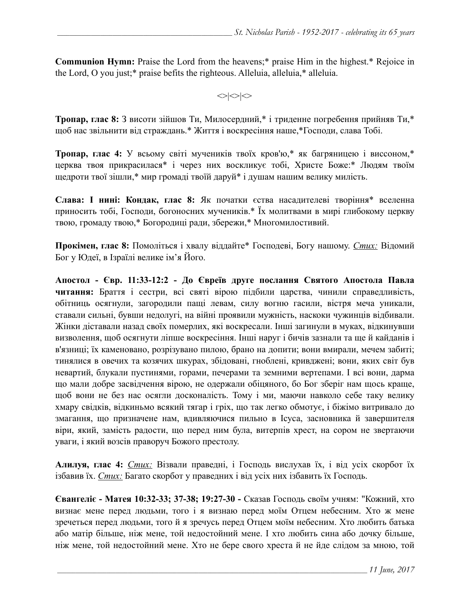**Communion Hymn:** Praise the Lord from the heavens;\* praise Him in the highest.\* Rejoice in the Lord, O you just;\* praise befits the righteous. Alleluia, alleluia,\* alleluia.

 $\langle \rangle$ 

**Тропар, глас 8:** З висоти зійшов Ти, Милосердний,\* і триденне погребення прийняв Ти,\* щоб нас звільнити від страждань.\* Життя і воскресіння наше,\*Господи, слава Тобі.

**Тропар, глас 4:** У всьому світі мучеників твоїх кров'ю,\* як багряницею і виссоном,\* церква твоя прикрасилася\* і через них воскликує тобі, Христе Боже:\* Людям твоїм щедроти твої зішли,\* мир громаді твоїй даруй\* і душам нашим велику милість.

**Слава: І нині: Кондак, глас 8:** Як початки єства насадителеві творіння\* вселенна приносить тобі, Господи, богоносних мучеників.\* Їх молитвами в мирі глибокому церкву твою, громаду твою,\* Богородиці ради, збережи,\* Многомилостивий.

**Прокімен, глас 8:** Помоліться і хвалу віддайте\* Господеві, Богу нашому. *Стих:* Відомий Бог у Юдеї, в Ізраїлі велике ім'я Його.

**Апостол - Євр. 11:33-12:2 - До Євреїв друге послання Святого Апостола Павла читання:** Браття і сестри, всі святі вірою підбили царства, чинили справедливість, обітниць осягнули, загородили пащі левам, силу вогню гасили, вістря меча уникали, ставали сильні, бувши недолугі, на війні проявили мужність, наскоки чужинців відбивали. Жінки діставали назад своїх померлих, які воскресали. Інші загинули в муках, відкинувши визволення, щоб осягнути ліпше воскресіння. Інші наруг і бичів зазнали та ще й кайданів і в'язниці; їх каменовано, розрізувано пилою, брано на допити; вони вмирали, мечем забиті; тинялися в овечих та козячих шкурах, збідовані, гноблені, кривджені; вони, яких світ був невартий, блукали пустинями, горами, печерами та земними вертепами. І всі вони, дарма що мали добре засвідчення вірою, не одержали обіцяного, бо Бог зберіг нам щось краще, щоб вони не без нас осягли досконалість. Тому і ми, маючи навколо себе таку велику хмару свідків, відкиньмо всякий тягар і гріх, що так легко обмотує, і біжімо витривало до змагання, що призначене нам, вдивляючися пильно в Ісуса, засновника й завершителя віри, який, замість радости, що перед ним була, витерпів хрест, на сором не звертаючи уваги, і який возсів праворуч Божого престолу.

**Алилуя, глас 4:** *Стих:* Візвали праведні, і Господь вислухав їх, і від усіх скорбот їх ізбавив їх. *Стих:* Багато скорбот у праведних і від усіх них ізбавить їх Господь.

**Євангеліє - Матея 10:32-33; 37-38; 19:27-30 -** Сказав Господь своїм учням: "Кожний, хто визнає мене перед людьми, того і я визнаю перед моїм Отцем небесним. Хто ж мене зречеться перед людьми, того й я зречусь перед Отцем моїм небесним. Хто любить батька або матір більше, ніж мене, той недостойний мене. І хто любить сина або дочку більше, ніж мене, той недостойний мене. Хто не бере свого хреста й не йде слідом за мною, той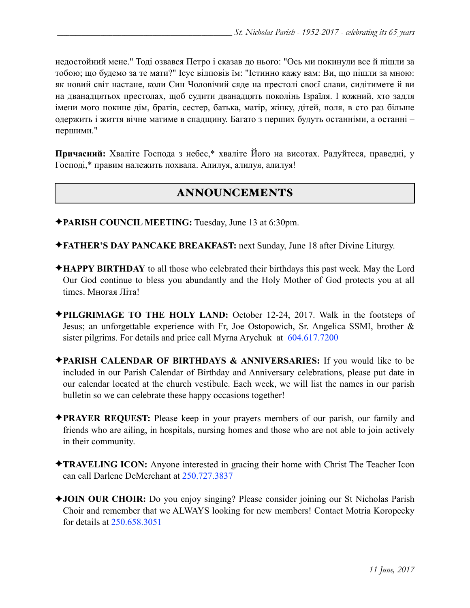недостойний мене." Тоді озвався Петро і сказав до нього: "Ось ми покинули все й пішли за тобою; що будемо за те мати?" Ісус відповів їм: "Істинно кажу вам: Ви, що пішли за мною: як новий світ настане, коли Син Чоловічий сяде на престолі своєї слави, сидітимете й ви на дванадцятьох престолах, щоб судити дванадцять поколінь Ізраїля. І кожний, хто задля імени мого покине дім, братів, сестер, батька, матір, жінку, дітей, поля, в сто раз більше одержить і життя вічне матиме в спадщину. Багато з перших будуть останніми, а останні – першими."

**Причасний:** Хваліте Господа з небес,\* хваліте Його на висотах. Радуйтеся, праведні, у Господі,\* правим належить похвала. Алилуя, aлилуя, aлилуя!

# ANNOUNCEMENTS

- ✦**PARISH COUNCIL MEETING:** Tuesday, June 13 at 6:30pm.
- ✦**FATHER'S DAY PANCAKE BREAKFAST:** next Sunday, June 18 after Divine Liturgy.
- ✦**HAPPY BIRTHDAY** to all those who celebrated their birthdays this past week. May the Lord Our God continue to bless you abundantly and the Holy Mother of God protects you at all times. Многая Літа!
- ✦**PILGRIMAGE TO THE HOLY LAND:** October 12-24, 2017. Walk in the footsteps of Jesus; an unforgettable experience with Fr, Joe Ostopowich, Sr. Angelica SSMI, brother & sister pilgrims. For details and price call Myrna Arychuk at 604.617.7200
- ✦**PARISH CALENDAR OF BIRTHDAYS & ANNIVERSARIES:** If you would like to be included in our Parish Calendar of Birthday and Anniversary celebrations, please put date in our calendar located at the church vestibule. Each week, we will list the names in our parish bulletin so we can celebrate these happy occasions together!
- ✦**PRAYER REQUEST:** Please keep in your prayers members of our parish, our family and friends who are ailing, in hospitals, nursing homes and those who are not able to join actively in their community.
- ✦**TRAVELING ICON:** Anyone interested in gracing their home with Christ The Teacher Icon can call Darlene DeMerchant at 250.727.3837
- ✦**JOIN OUR CHOIR:** Do you enjoy singing? Please consider joining our St Nicholas Parish Choir and remember that we ALWAYS looking for new members! Contact Motria Koropecky for details at 250.658.3051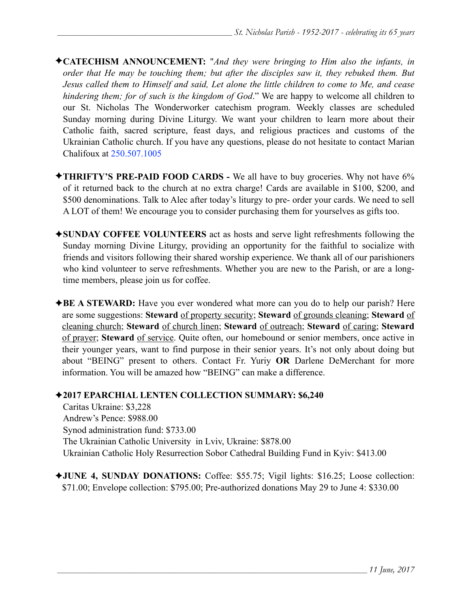- ✦**CATECHISM ANNOUNCEMENT:** "*And they were bringing to Him also the infants, in order that He may be touching them; but after the disciples saw it, they rebuked them. But Jesus called them to Himself and said, Let alone the little children to come to Me, and cease hindering them; for of such is the kingdom of God*." We are happy to welcome all children to our St. Nicholas The Wonderworker catechism program. Weekly classes are scheduled Sunday morning during Divine Liturgy. We want your children to learn more about their Catholic faith, sacred scripture, feast days, and religious practices and customs of the Ukrainian Catholic church. If you have any questions, please do not hesitate to contact Marian Chalifoux at 250.507.1005
- ✦**THRIFTY'S PRE-PAID FOOD CARDS** We all have to buy groceries. Why not have 6% of it returned back to the church at no extra charge! Cards are available in \$100, \$200, and \$500 denominations. Talk to Alec after today's liturgy to pre- order your cards. We need to sell A LOT of them! We encourage you to consider purchasing them for yourselves as gifts too.
- ✦**SUNDAY COFFEE VOLUNTEERS** act as hosts and serve light refreshments following the Sunday morning Divine Liturgy, providing an opportunity for the faithful to socialize with friends and visitors following their shared worship experience. We thank all of our parishioners who kind volunteer to serve refreshments. Whether you are new to the Parish, or are a longtime members, please join us for coffee.
- ✦**BE A STEWARD:** Have you ever wondered what more can you do to help our parish? Here are some suggestions: **Steward** of property security; **Steward** of grounds cleaning; **Steward** of cleaning church; **Steward** of church linen; **Steward** of outreach; **Steward** of caring; **Steward** of prayer; **Steward** of service. Quite often, our homebound or senior members, once active in their younger years, want to find purpose in their senior years. It's not only about doing but about "BEING" present to others. Contact Fr. Yuriy **OR** Darlene DeMerchant for more information. You will be amazed how "BEING" can make a difference.

### ✦**2017 EPARCHIAL LENTEN COLLECTION SUMMARY: \$6,240**

Caritas Ukraine: \$3,228 Andrew's Pence: \$988.00 Synod administration fund: \$733.00 The Ukrainian Catholic University in Lviv, Ukraine: \$878.00 Ukrainian Catholic Holy Resurrection Sobor Cathedral Building Fund in Kyiv: \$413.00

✦**JUNE 4, SUNDAY DONATIONS:** Coffee: \$55.75; Vigil lights: \$16.25; Loose collection: \$71.00; Envelope collection: \$795.00; Pre-authorized donations May 29 to June 4: \$330.00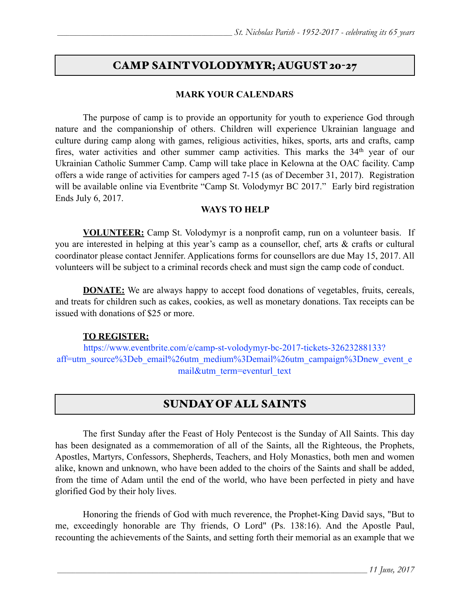### CAMP SAINT VOLODYMYR; AUGUST 20-27

#### **MARK YOUR CALENDARS**

 The purpose of camp is to provide an opportunity for youth to experience God through nature and the companionship of others. Children will experience Ukrainian language and culture during camp along with games, religious activities, hikes, sports, arts and crafts, camp fires, water activities and other summer camp activities. This marks the 34<sup>th</sup> year of our Ukrainian Catholic Summer Camp. Camp will take place in Kelowna at the OAC facility. Camp offers a wide range of activities for campers aged 7-15 (as of December 31, 2017). Registration will be available online via Eventbrite "Camp St. Volodymyr BC 2017." Early bird registration Ends July 6, 2017.

#### **WAYS TO HELP**

**VOLUNTEER:** Camp St. Volodymyr is a nonprofit camp, run on a volunteer basis. If you are interested in helping at this year's camp as a counsellor, chef, arts & crafts or cultural coordinator please contact Jennifer. Applications forms for counsellors are due May 15, 2017. All volunteers will be subject to a criminal records check and must sign the camp code of conduct.

**DONATE:** We are always happy to accept food donations of vegetables, fruits, cereals, and treats for children such as cakes, cookies, as well as monetary donations. Tax receipts can be issued with donations of \$25 or more.

### **TO REGISTER:**

[https://www.eventbrite.com/e/camp-st-volodymyr-bc-2017-tickets-32623288133?](https://www.eventbrite.com/e/camp-st-volodymyr-bc-2017-tickets-32623288133?aff=utm_source%3Deb_email%26utm_medium%3Demail%26utm_campaign%3Dnew_event_email&utm_term=eventurl_text) [aff=utm\\_source%3Deb\\_email%26utm\\_medium%3Demail%26utm\\_campaign%3Dnew\\_event\\_e](https://www.eventbrite.com/e/camp-st-volodymyr-bc-2017-tickets-32623288133?aff=utm_source%3Deb_email%26utm_medium%3Demail%26utm_campaign%3Dnew_event_email&utm_term=eventurl_text) [mail&utm\\_term=eventurl\\_text](https://www.eventbrite.com/e/camp-st-volodymyr-bc-2017-tickets-32623288133?aff=utm_source%3Deb_email%26utm_medium%3Demail%26utm_campaign%3Dnew_event_email&utm_term=eventurl_text)

## SUNDAY OF ALL SAINTS

 The first Sunday after the Feast of Holy Pentecost is the Sunday of All Saints. This day has been designated as a commemoration of all of the Saints, all the Righteous, the Prophets, Apostles, Martyrs, Confessors, Shepherds, Teachers, and Holy Monastics, both men and women alike, known and unknown, who have been added to the choirs of the Saints and shall be added, from the time of Adam until the end of the world, who have been perfected in piety and have glorified God by their holy lives.

 Honoring the friends of God with much reverence, the Prophet-King David says, "But to me, exceedingly honorable are Thy friends, O Lord" (Ps. 138:16). And the Apostle Paul, recounting the achievements of the Saints, and setting forth their memorial as an example that we